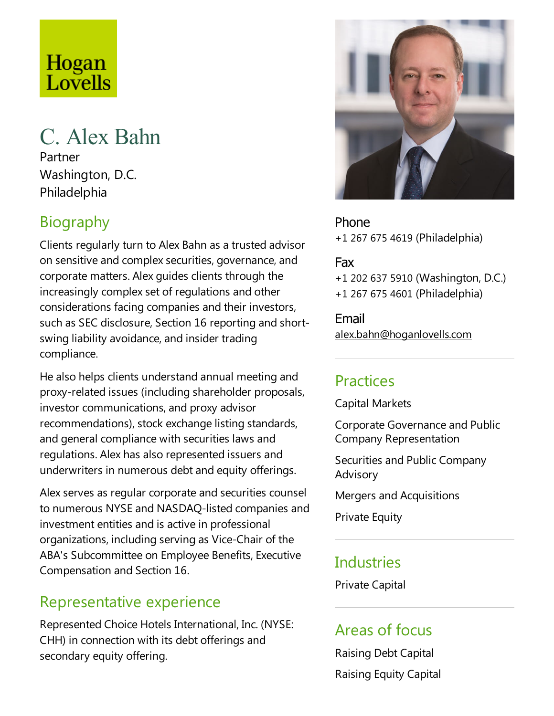# Hogan Lovells

# C. Alex Bahn

Partner Washington, D.C. Philadelphia

# **Biography**

Clients regularly turn to Alex Bahn as atrusted advisor on sensitive and complex securities, governance, and corporate matters. Alex guides clients through the increasingly complex set of regulations and other considerations facing companies and their investors, such as SEC disclosure, Section 16 reporting and shortswing liability avoidance, and insider trading compliance.

He also helps clients understand annual meeting and proxy-related issues (including shareholder proposals, investor communications, and proxy advisor recommendations), stock exchange listing standards, and general compliance with securities laws and regulations. Alex has also represented issuers and underwriters in numerous debt and equity offerings.

Alex serves as regular corporate and securities counsel to numerous NYSEand NASDAQ-listed companies and investment entities and is active in professional organizations, including serving as Vice-Chair of the ABA's Subcommittee on Employee Benefits, Executive Compensation and Section 16.

#### Representative experience

Represented Choice Hotels International, Inc. (NYSE: CHH) in connection with its debt offerings and secondary equity offering.



Phone +1 267 675 4619 (Philadelphia)

#### Fax

+1 202 637 5910 (Washington, D.C.) +1 267 675 4601 (Philadelphia)

Email alex.bahn@hoganlovells.com

#### Practices

Capital Markets

Corporate Governance and Public Company Representation

Securities and Public Company Advisory

Mergers and Acquisitions

Private Equity

### **Industries**

Private Capital

# Areas of focus

Raising Debt Capital Raising Equity Capital